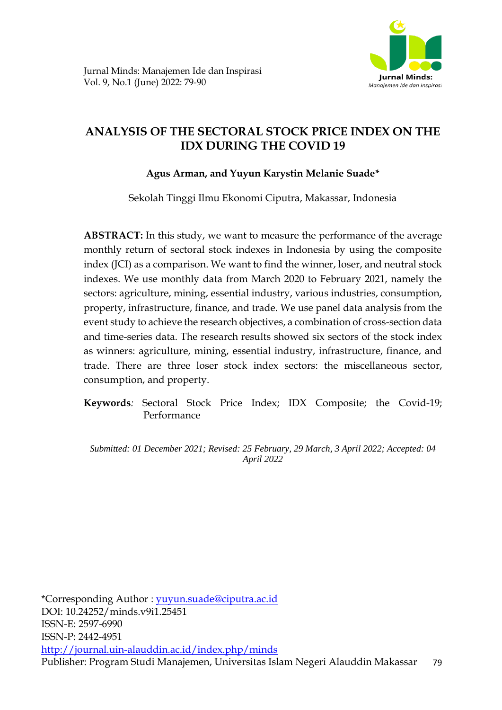

# **ANALYSIS OF THE SECTORAL STOCK PRICE INDEX ON THE IDX DURING THE COVID 19**

# **Agus Arman, and Yuyun Karystin Melanie Suade\***

Sekolah Tinggi Ilmu Ekonomi Ciputra, Makassar, Indonesia

**ABSTRACT:** In this study, we want to measure the performance of the average monthly return of sectoral stock indexes in Indonesia by using the composite index (JCI) as a comparison. We want to find the winner, loser, and neutral stock indexes. We use monthly data from March 2020 to February 2021, namely the sectors: agriculture, mining, essential industry, various industries, consumption, property, infrastructure, finance, and trade. We use panel data analysis from the event study to achieve the research objectives, a combination of cross-section data and time-series data. The research results showed six sectors of the stock index as winners: agriculture, mining, essential industry, infrastructure, finance, and trade. There are three loser stock index sectors: the miscellaneous sector, consumption, and property.

**Keywords***:* Sectoral Stock Price Index; IDX Composite; the Covid-19; Performance

*Submitted: 01 December 2021; Revised: 25 February, 29 March, 3 April 2022; Accepted: 04 April 2022*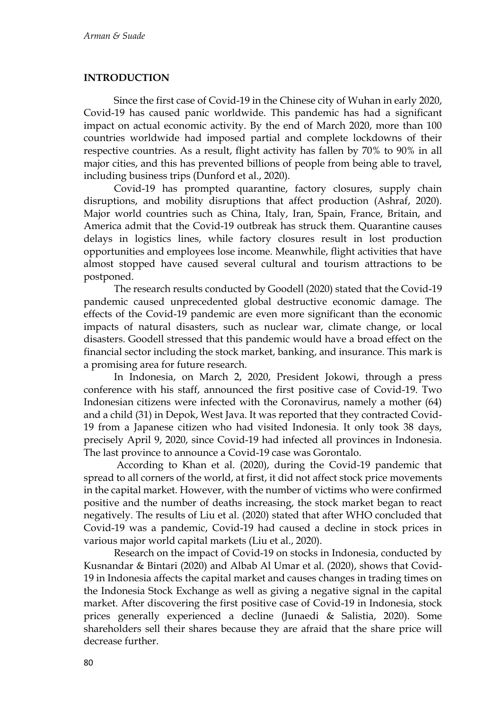### **INTRODUCTION**

Since the first case of Covid-19 in the Chinese city of Wuhan in early 2020, Covid-19 has caused panic worldwide. This pandemic has had a significant impact on actual economic activity. By the end of March 2020, more than 100 countries worldwide had imposed partial and complete lockdowns of their respective countries. As a result, flight activity has fallen by 70% to 90% in all major cities, and this has prevented billions of people from being able to travel, including business trips (Dunford et al., 2020).

Covid-19 has prompted quarantine, factory closures, supply chain disruptions, and mobility disruptions that affect production (Ashraf, 2020). Major world countries such as China, Italy, Iran, Spain, France, Britain, and America admit that the Covid-19 outbreak has struck them. Quarantine causes delays in logistics lines, while factory closures result in lost production opportunities and employees lose income. Meanwhile, flight activities that have almost stopped have caused several cultural and tourism attractions to be postponed.

The research results conducted by Goodell (2020) stated that the Covid-19 pandemic caused unprecedented global destructive economic damage. The effects of the Covid-19 pandemic are even more significant than the economic impacts of natural disasters, such as nuclear war, climate change, or local disasters. Goodell stressed that this pandemic would have a broad effect on the financial sector including the stock market, banking, and insurance. This mark is a promising area for future research.

In Indonesia, on March 2, 2020, President Jokowi, through a press conference with his staff, announced the first positive case of Covid-19. Two Indonesian citizens were infected with the Coronavirus, namely a mother (64) and a child (31) in Depok, West Java. It was reported that they contracted Covid-19 from a Japanese citizen who had visited Indonesia. It only took 38 days, precisely April 9, 2020, since Covid-19 had infected all provinces in Indonesia. The last province to announce a Covid-19 case was Gorontalo.

According to Khan et al. (2020), during the Covid-19 pandemic that spread to all corners of the world, at first, it did not affect stock price movements in the capital market. However, with the number of victims who were confirmed positive and the number of deaths increasing, the stock market began to react negatively. The results of Liu et al. (2020) stated that after WHO concluded that Covid-19 was a pandemic, Covid-19 had caused a decline in stock prices in various major world capital markets (Liu et al., 2020).

Research on the impact of Covid-19 on stocks in Indonesia, conducted by Kusnandar & Bintari (2020) and Albab Al Umar et al. (2020), shows that Covid-19 in Indonesia affects the capital market and causes changes in trading times on the Indonesia Stock Exchange as well as giving a negative signal in the capital market. After discovering the first positive case of Covid-19 in Indonesia, stock prices generally experienced a decline (Junaedi & Salistia, 2020). Some shareholders sell their shares because they are afraid that the share price will decrease further.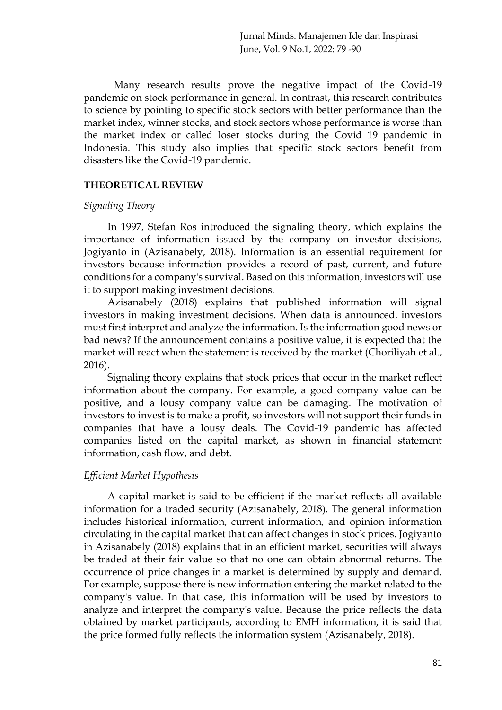Many research results prove the negative impact of the Covid-19 pandemic on stock performance in general. In contrast, this research contributes to science by pointing to specific stock sectors with better performance than the market index, winner stocks, and stock sectors whose performance is worse than the market index or called loser stocks during the Covid 19 pandemic in Indonesia. This study also implies that specific stock sectors benefit from disasters like the Covid-19 pandemic.

# **THEORETICAL REVIEW**

# *Signaling Theory*

In 1997, Stefan Ros introduced the signaling theory, which explains the importance of information issued by the company on investor decisions, Jogiyanto in (Azisanabely, 2018). Information is an essential requirement for investors because information provides a record of past, current, and future conditions for a company's survival. Based on this information, investors will use it to support making investment decisions.

Azisanabely (2018) explains that published information will signal investors in making investment decisions. When data is announced, investors must first interpret and analyze the information. Is the information good news or bad news? If the announcement contains a positive value, it is expected that the market will react when the statement is received by the market (Choriliyah et al., 2016).

Signaling theory explains that stock prices that occur in the market reflect information about the company. For example, a good company value can be positive, and a lousy company value can be damaging. The motivation of investors to invest is to make a profit, so investors will not support their funds in companies that have a lousy deals. The Covid-19 pandemic has affected companies listed on the capital market, as shown in financial statement information, cash flow, and debt.

# *Efficient Market Hypothesis*

A capital market is said to be efficient if the market reflects all available information for a traded security (Azisanabely, 2018). The general information includes historical information, current information, and opinion information circulating in the capital market that can affect changes in stock prices. Jogiyanto in Azisanabely (2018) explains that in an efficient market, securities will always be traded at their fair value so that no one can obtain abnormal returns. The occurrence of price changes in a market is determined by supply and demand. For example, suppose there is new information entering the market related to the company's value. In that case, this information will be used by investors to analyze and interpret the company's value. Because the price reflects the data obtained by market participants, according to EMH information, it is said that the price formed fully reflects the information system (Azisanabely, 2018).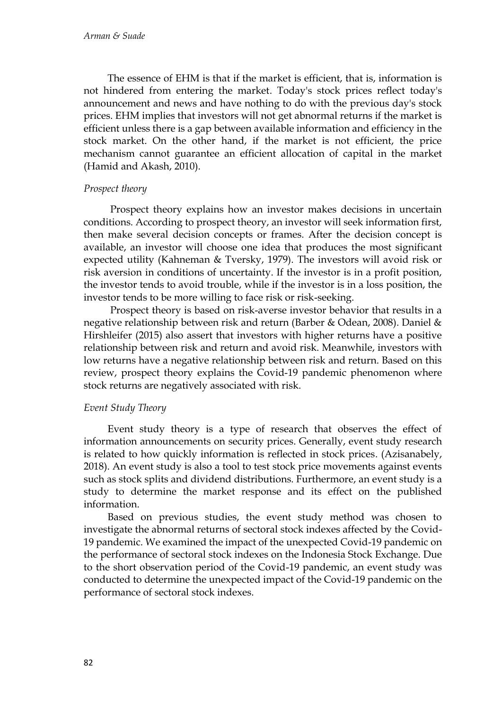The essence of EHM is that if the market is efficient, that is, information is not hindered from entering the market. Today's stock prices reflect today's announcement and news and have nothing to do with the previous day's stock prices. EHM implies that investors will not get abnormal returns if the market is efficient unless there is a gap between available information and efficiency in the stock market. On the other hand, if the market is not efficient, the price mechanism cannot guarantee an efficient allocation of capital in the market (Hamid and Akash, 2010).

### *Prospect theory*

Prospect theory explains how an investor makes decisions in uncertain conditions. According to prospect theory, an investor will seek information first, then make several decision concepts or frames. After the decision concept is available, an investor will choose one idea that produces the most significant expected utility (Kahneman & Tversky, 1979). The investors will avoid risk or risk aversion in conditions of uncertainty. If the investor is in a profit position, the investor tends to avoid trouble, while if the investor is in a loss position, the investor tends to be more willing to face risk or risk-seeking.

Prospect theory is based on risk-averse investor behavior that results in a negative relationship between risk and return (Barber & Odean, 2008). Daniel & Hirshleifer (2015) also assert that investors with higher returns have a positive relationship between risk and return and avoid risk. Meanwhile, investors with low returns have a negative relationship between risk and return. Based on this review, prospect theory explains the Covid-19 pandemic phenomenon where stock returns are negatively associated with risk.

### *Event Study Theory*

Event study theory is a type of research that observes the effect of information announcements on security prices. Generally, event study research is related to how quickly information is reflected in stock prices. (Azisanabely, 2018). An event study is also a tool to test stock price movements against events such as stock splits and dividend distributions. Furthermore, an event study is a study to determine the market response and its effect on the published information.

Based on previous studies, the event study method was chosen to investigate the abnormal returns of sectoral stock indexes affected by the Covid-19 pandemic. We examined the impact of the unexpected Covid-19 pandemic on the performance of sectoral stock indexes on the Indonesia Stock Exchange. Due to the short observation period of the Covid-19 pandemic, an event study was conducted to determine the unexpected impact of the Covid-19 pandemic on the performance of sectoral stock indexes.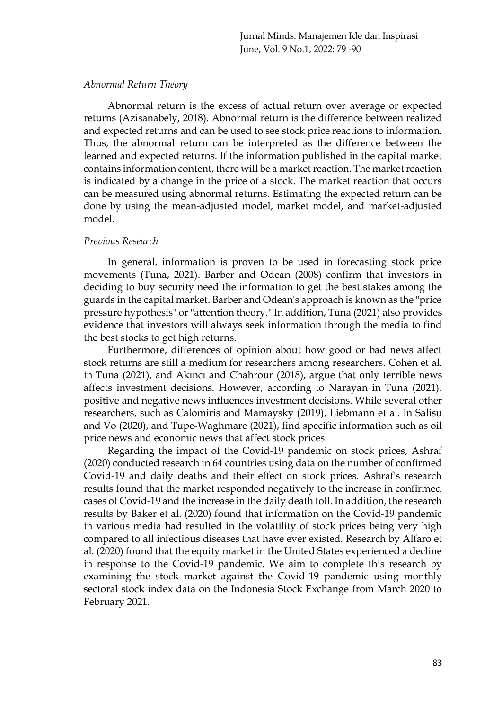### *Abnormal Return Theory*

Abnormal return is the excess of actual return over average or expected returns (Azisanabely, 2018). Abnormal return is the difference between realized and expected returns and can be used to see stock price reactions to information. Thus, the abnormal return can be interpreted as the difference between the learned and expected returns. If the information published in the capital market contains information content, there will be a market reaction. The market reaction is indicated by a change in the price of a stock. The market reaction that occurs can be measured using abnormal returns. Estimating the expected return can be done by using the mean-adjusted model, market model, and market-adjusted model.

### *Previous Research*

In general, information is proven to be used in forecasting stock price movements (Tuna, 2021). Barber and Odean (2008) confirm that investors in deciding to buy security need the information to get the best stakes among the guards in the capital market. Barber and Odean's approach is known as the "price pressure hypothesis" or "attention theory." In addition, Tuna (2021) also provides evidence that investors will always seek information through the media to find the best stocks to get high returns.

Furthermore, differences of opinion about how good or bad news affect stock returns are still a medium for researchers among researchers. Cohen et al. in Tuna (2021), and Akıncı and Chahrour (2018), argue that only terrible news affects investment decisions. However, according to Narayan in Tuna (2021), positive and negative news influences investment decisions. While several other researchers, such as Calomiris and Mamaysky (2019), Liebmann et al. in Salisu and Vo (2020), and Tupe-Waghmare (2021), find specific information such as oil price news and economic news that affect stock prices.

Regarding the impact of the Covid-19 pandemic on stock prices, Ashraf (2020) conducted research in 64 countries using data on the number of confirmed Covid-19 and daily deaths and their effect on stock prices. Ashraf's research results found that the market responded negatively to the increase in confirmed cases of Covid-19 and the increase in the daily death toll. In addition, the research results by Baker et al. (2020) found that information on the Covid-19 pandemic in various media had resulted in the volatility of stock prices being very high compared to all infectious diseases that have ever existed. Research by Alfaro et al. (2020) found that the equity market in the United States experienced a decline in response to the Covid-19 pandemic. We aim to complete this research by examining the stock market against the Covid-19 pandemic using monthly sectoral stock index data on the Indonesia Stock Exchange from March 2020 to February 2021.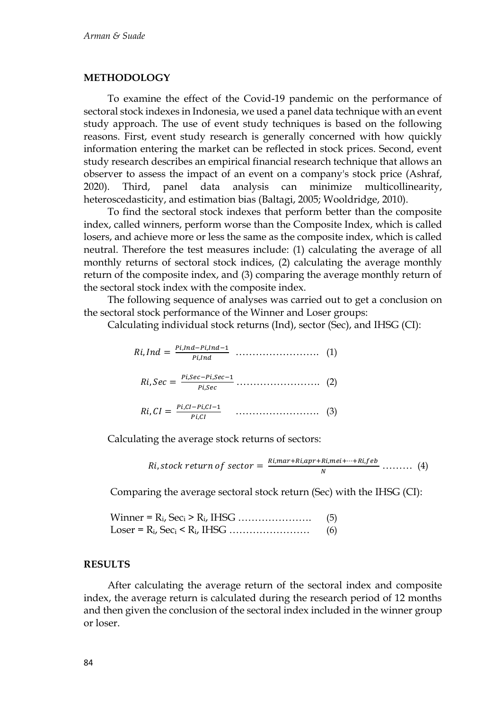#### **METHODOLOGY**

To examine the effect of the Covid-19 pandemic on the performance of sectoral stock indexes in Indonesia, we used a panel data technique with an event study approach. The use of event study techniques is based on the following reasons. First, event study research is generally concerned with how quickly information entering the market can be reflected in stock prices. Second, event study research describes an empirical financial research technique that allows an observer to assess the impact of an event on a company's stock price (Ashraf, 2020). Third, panel data analysis can minimize multicollinearity, heteroscedasticity, and estimation bias (Baltagi, 2005; Wooldridge, 2010).

To find the sectoral stock indexes that perform better than the composite index, called winners, perform worse than the Composite Index, which is called losers, and achieve more or less the same as the composite index, which is called neutral. Therefore the test measures include: (1) calculating the average of all monthly returns of sectoral stock indices, (2) calculating the average monthly return of the composite index, and (3) comparing the average monthly return of the sectoral stock index with the composite index.

The following sequence of analyses was carried out to get a conclusion on the sectoral stock performance of the Winner and Loser groups:

Calculating individual stock returns (Ind), sector (Sec), and IHSG (CI):

| $Ri, Ind = \frac{Pi, Ind-Pi, Ind-1}{Pi, Ind}$<br>$\cdots$ (1)                                       |  |
|-----------------------------------------------------------------------------------------------------|--|
| $Ri, Sec = \frac{Pi, Sec - Pi, Sec - 1}{Pi, Sec} \dots \dots \dots \dots \dots \dots \dots \tag{2}$ |  |
| $Ri,CI = \frac{Pi,CI-Pi,CI-1}{Pi,CI}$<br>$\cdots$ (3)                                               |  |

Calculating the average stock returns of sectors:

*Ri*, stock return of sector = 
$$
\frac{Ri, mar + Ri, apr + Ri, mei + \dots + Ri, feb}{N}
$$
........ (4)

Comparing the average sectoral stock return (Sec) with the IHSG (CI):

| (5) |
|-----|
| (6) |

#### **RESULTS**

After calculating the average return of the sectoral index and composite index, the average return is calculated during the research period of 12 months and then given the conclusion of the sectoral index included in the winner group or loser.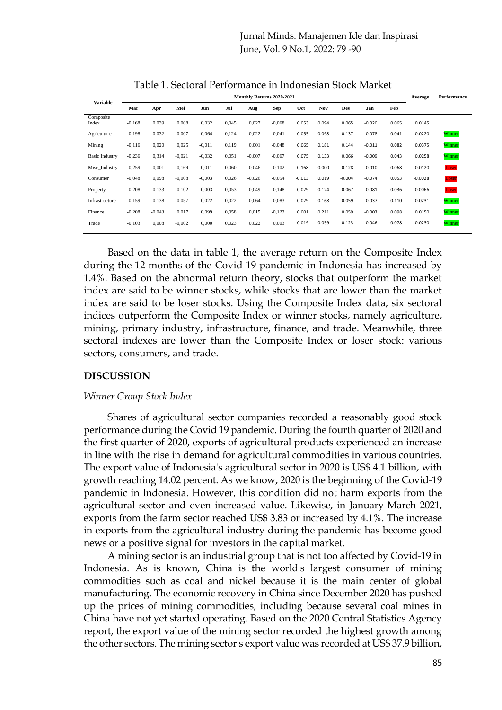# Jurnal Minds: Manajemen Ide dan Inspirasi June, Vol. 9 No.1, 2022: 79 -90

| <b>Variable</b>       | Monthly Returns 2020-2021 |          |          |          |          |          |          |          |       |          |          |          | Average   | Performance |
|-----------------------|---------------------------|----------|----------|----------|----------|----------|----------|----------|-------|----------|----------|----------|-----------|-------------|
|                       | Mar                       | Apr      | Mei      | Jun      | Jul      | Aug      | Sep      | Oct      | Nov   | Des      | Jan      | Feb      |           |             |
| Composite<br>Index    | $-0.168$                  | 0,039    | 0,008    | 0,032    | 0,045    | 0,027    | $-0.068$ | 0.053    | 0.094 | 0.065    | $-0.020$ | 0.065    | 0.0145    |             |
| Agriculture           | $-0.198$                  | 0,032    | 0,007    | 0,064    | 0,124    | 0,022    | $-0.041$ | 0.055    | 0.098 | 0.137    | $-0.078$ | 0.041    | 0.0220    | Winner      |
| Mining                | $-0.116$                  | 0,020    | 0,025    | $-0.011$ | 0,119    | 0,001    | $-0.048$ | 0.065    | 0.181 | 0.144    | $-0.011$ | 0.082    | 0.0375    | Winner      |
| <b>Basic Industry</b> | $-0.236$                  | 0,314    | $-0.021$ | $-0,032$ | 0,051    | $-0,007$ | $-0.067$ | 0.075    | 0.133 | 0.066    | $-0.009$ | 0.043    | 0.0258    | Winner      |
| Misc Industry         | $-0.259$                  | 0,001    | 0,169    | 0,011    | 0,060    | 0,046    | $-0,102$ | 0.168    | 0.000 | 0.128    | $-0.010$ | $-0.068$ | 0.0120    | Loser       |
| Consumer              | $-0.048$                  | 0,098    | $-0,008$ | $-0,003$ | 0,026    | $-0,026$ | $-0.054$ | $-0.013$ | 0.019 | $-0.004$ | $-0.074$ | 0.053    | $-0.0028$ | Loser       |
| Property              | $-0,208$                  | $-0,133$ | 0,102    | $-0,003$ | $-0.053$ | $-0,049$ | 0,148    | $-0.029$ | 0.124 | 0.067    | $-0.081$ | 0.036    | $-0.0066$ | Loser       |
| Infrastructure        | $-0.159$                  | 0,138    | $-0.057$ | 0,022    | 0,022    | 0,064    | $-0.083$ | 0.029    | 0.168 | 0.059    | $-0.037$ | 0.110    | 0.0231    | Winner      |
| Finance               | $-0,208$                  | $-0.043$ | 0,017    | 0.099    | 0,058    | 0,015    | $-0,123$ | 0.001    | 0.211 | 0.059    | $-0.003$ | 0.098    | 0.0150    | Winner      |
| Trade                 | $-0,103$                  | 0,008    | $-0,002$ | 0.000    | 0,023    | 0,022    | 0,003    | 0.019    | 0.059 | 0.123    | 0.046    | 0.078    | 0.0230    | Winner      |
|                       |                           |          |          |          |          |          |          |          |       |          |          |          |           |             |

Table 1. Sectoral Performance in Indonesian Stock Market

Based on the data in table 1, the average return on the Composite Index during the 12 months of the Covid-19 pandemic in Indonesia has increased by 1.4%. Based on the abnormal return theory, stocks that outperform the market index are said to be winner stocks, while stocks that are lower than the market index are said to be loser stocks. Using the Composite Index data, six sectoral indices outperform the Composite Index or winner stocks, namely agriculture, mining, primary industry, infrastructure, finance, and trade. Meanwhile, three sectoral indexes are lower than the Composite Index or loser stock: various sectors, consumers, and trade.

### **DISCUSSION**

#### *Winner Group Stock Index*

Shares of agricultural sector companies recorded a reasonably good stock performance during the Covid 19 pandemic. During the fourth quarter of 2020 and the first quarter of 2020, exports of agricultural products experienced an increase in line with the rise in demand for agricultural commodities in various countries. The export value of Indonesia's agricultural sector in 2020 is US\$ 4.1 billion, with growth reaching 14.02 percent. As we know, 2020 is the beginning of the Covid-19 pandemic in Indonesia. However, this condition did not harm exports from the agricultural sector and even increased value. Likewise, in January-March 2021, exports from the farm sector reached US\$ 3.83 or increased by 4.1%. The increase in exports from the agricultural industry during the pandemic has become good news or a positive signal for investors in the capital market.

A mining sector is an industrial group that is not too affected by Covid-19 in Indonesia. As is known, China is the world's largest consumer of mining commodities such as coal and nickel because it is the main center of global manufacturing. The economic recovery in China since December 2020 has pushed up the prices of mining commodities, including because several coal mines in China have not yet started operating. Based on the 2020 Central Statistics Agency report, the export value of the mining sector recorded the highest growth among the other sectors. The mining sector's export value was recorded at US\$ 37.9 billion,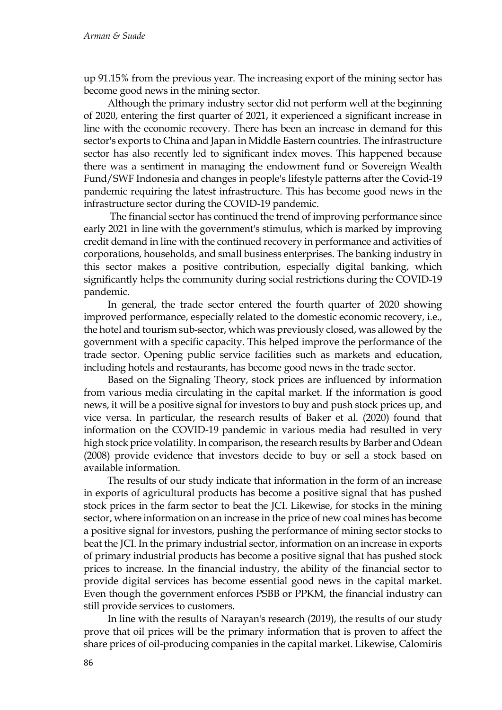up 91.15% from the previous year. The increasing export of the mining sector has become good news in the mining sector.

Although the primary industry sector did not perform well at the beginning of 2020, entering the first quarter of 2021, it experienced a significant increase in line with the economic recovery. There has been an increase in demand for this sector's exports to China and Japan in Middle Eastern countries. The infrastructure sector has also recently led to significant index moves. This happened because there was a sentiment in managing the endowment fund or Sovereign Wealth Fund/SWF Indonesia and changes in people's lifestyle patterns after the Covid-19 pandemic requiring the latest infrastructure. This has become good news in the infrastructure sector during the COVID-19 pandemic.

The financial sector has continued the trend of improving performance since early 2021 in line with the government's stimulus, which is marked by improving credit demand in line with the continued recovery in performance and activities of corporations, households, and small business enterprises. The banking industry in this sector makes a positive contribution, especially digital banking, which significantly helps the community during social restrictions during the COVID-19 pandemic.

In general, the trade sector entered the fourth quarter of 2020 showing improved performance, especially related to the domestic economic recovery, i.e., the hotel and tourism sub-sector, which was previously closed, was allowed by the government with a specific capacity. This helped improve the performance of the trade sector. Opening public service facilities such as markets and education, including hotels and restaurants, has become good news in the trade sector.

Based on the Signaling Theory, stock prices are influenced by information from various media circulating in the capital market. If the information is good news, it will be a positive signal for investors to buy and push stock prices up, and vice versa. In particular, the research results of Baker et al. (2020) found that information on the COVID-19 pandemic in various media had resulted in very high stock price volatility. In comparison, the research results by Barber and Odean (2008) provide evidence that investors decide to buy or sell a stock based on available information.

The results of our study indicate that information in the form of an increase in exports of agricultural products has become a positive signal that has pushed stock prices in the farm sector to beat the JCI. Likewise, for stocks in the mining sector, where information on an increase in the price of new coal mines has become a positive signal for investors, pushing the performance of mining sector stocks to beat the JCI. In the primary industrial sector, information on an increase in exports of primary industrial products has become a positive signal that has pushed stock prices to increase. In the financial industry, the ability of the financial sector to provide digital services has become essential good news in the capital market. Even though the government enforces PSBB or PPKM, the financial industry can still provide services to customers.

In line with the results of Narayan's research (2019), the results of our study prove that oil prices will be the primary information that is proven to affect the share prices of oil-producing companies in the capital market. Likewise, Calomiris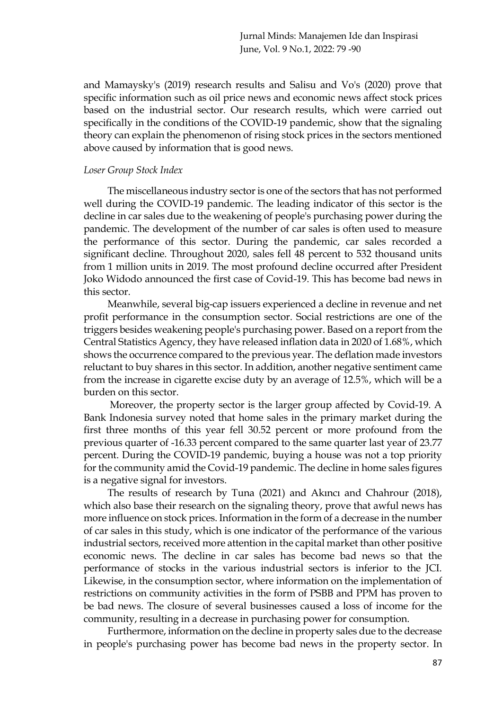and Mamaysky's (2019) research results and Salisu and Vo's (2020) prove that specific information such as oil price news and economic news affect stock prices based on the industrial sector. Our research results, which were carried out specifically in the conditions of the COVID-19 pandemic, show that the signaling theory can explain the phenomenon of rising stock prices in the sectors mentioned above caused by information that is good news.

#### *Loser Group Stock Index*

The miscellaneous industry sector is one of the sectors that has not performed well during the COVID-19 pandemic. The leading indicator of this sector is the decline in car sales due to the weakening of people's purchasing power during the pandemic. The development of the number of car sales is often used to measure the performance of this sector. During the pandemic, car sales recorded a significant decline. Throughout 2020, sales fell 48 percent to 532 thousand units from 1 million units in 2019. The most profound decline occurred after President Joko Widodo announced the first case of Covid-19. This has become bad news in this sector.

Meanwhile, several big-cap issuers experienced a decline in revenue and net profit performance in the consumption sector. Social restrictions are one of the triggers besides weakening people's purchasing power. Based on a report from the Central Statistics Agency, they have released inflation data in 2020 of 1.68%, which shows the occurrence compared to the previous year. The deflation made investors reluctant to buy shares in this sector. In addition, another negative sentiment came from the increase in cigarette excise duty by an average of 12.5%, which will be a burden on this sector.

Moreover, the property sector is the larger group affected by Covid-19. A Bank Indonesia survey noted that home sales in the primary market during the first three months of this year fell 30.52 percent or more profound from the previous quarter of -16.33 percent compared to the same quarter last year of 23.77 percent. During the COVID-19 pandemic, buying a house was not a top priority for the community amid the Covid-19 pandemic. The decline in home sales figures is a negative signal for investors.

The results of research by Tuna (2021) and Akıncı and Chahrour (2018), which also base their research on the signaling theory, prove that awful news has more influence on stock prices. Information in the form of a decrease in the number of car sales in this study, which is one indicator of the performance of the various industrial sectors, received more attention in the capital market than other positive economic news. The decline in car sales has become bad news so that the performance of stocks in the various industrial sectors is inferior to the JCI. Likewise, in the consumption sector, where information on the implementation of restrictions on community activities in the form of PSBB and PPM has proven to be bad news. The closure of several businesses caused a loss of income for the community, resulting in a decrease in purchasing power for consumption.

Furthermore, information on the decline in property sales due to the decrease in people's purchasing power has become bad news in the property sector. In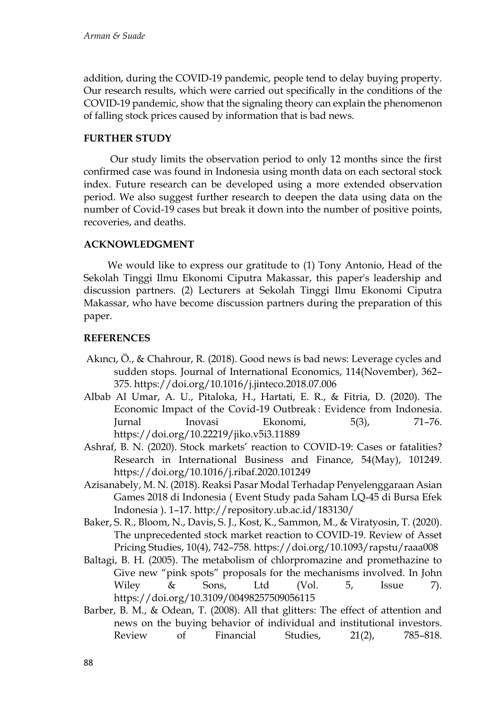addition, during the COVID-19 pandemic, people tend to delay buying property. Our research results, which were carried out specifically in the conditions of the COVID-19 pandemic, show that the signaling theory can explain the phenomenon of falling stock prices caused by information that is bad news.

# **FURTHER STUDY**

Our study limits the observation period to only 12 months since the first confirmed case was found in Indonesia using month data on each sectoral stock index. Future research can be developed using a more extended observation period. We also suggest further research to deepen the data using data on the number of Covid-19 cases but break it down into the number of positive points, recoveries, and deaths.

# **ACKNOWLEDGMENT**

We would like to express our gratitude to (1) Tony Antonio, Head of the Sekolah Tinggi Ilmu Ekonomi Ciputra Makassar, this paper's leadership and discussion partners. (2) Lecturers at Sekolah Tinggi Ilmu Ekonomi Ciputra Makassar, who have become discussion partners during the preparation of this paper.

# **REFERENCES**

- Akıncı, Ö., & Chahrour, R. (2018). Good news is bad news: Leverage cycles and sudden stops. Journal of International Economics, 114(November), 362– 375. https://doi.org/10.1016/j.jinteco.2018.07.006
- Albab Al Umar, A. U., Pitaloka, H., Hartati, E. R., & Fitria, D. (2020). The Economic Impact of the Covid-19 Outbreak : Evidence from Indonesia. Jurnal Inovasi Ekonomi, 5(3), 71–76. https://doi.org/10.22219/jiko.v5i3.11889
- Ashraf, B. N. (2020). Stock markets' reaction to COVID-19: Cases or fatalities? Research in International Business and Finance, 54(May), 101249. https://doi.org/10.1016/j.ribaf.2020.101249
- Azisanabely, M. N. (2018). Reaksi Pasar Modal Terhadap Penyelenggaraan Asian Games 2018 di Indonesia ( Event Study pada Saham LQ-45 di Bursa Efek Indonesia ). 1–17. http://repository.ub.ac.id/183130/
- Baker, S. R., Bloom, N., Davis, S. J., Kost, K., Sammon, M., & Viratyosin, T. (2020). The unprecedented stock market reaction to COVID-19. Review of Asset Pricing Studies, 10(4), 742–758. https://doi.org/10.1093/rapstu/raaa008
- Baltagi, B. H. (2005). The metabolism of chlorpromazine and promethazine to Give new "pink spots" proposals for the mechanisms involved. In John Wiley & Sons, Ltd (Vol. 5, Issue 7). https://doi.org/10.3109/00498257509056115
- Barber, B. M., & Odean, T. (2008). All that glitters: The effect of attention and news on the buying behavior of individual and institutional investors. Review of Financial Studies, 21(2), 785–818.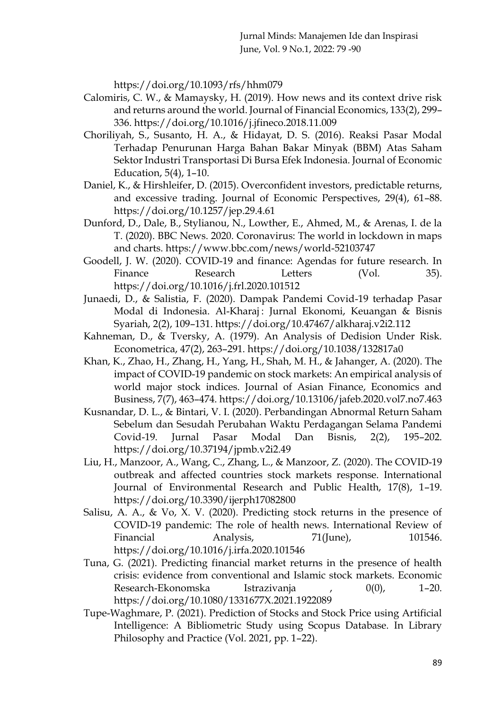https://doi.org/10.1093/rfs/hhm079

- Calomiris, C. W., & Mamaysky, H. (2019). How news and its context drive risk and returns around the world. Journal of Financial Economics, 133(2), 299– 336. https://doi.org/10.1016/j.jfineco.2018.11.009
- Choriliyah, S., Susanto, H. A., & Hidayat, D. S. (2016). Reaksi Pasar Modal Terhadap Penurunan Harga Bahan Bakar Minyak (BBM) Atas Saham Sektor Industri Transportasi Di Bursa Efek Indonesia. Journal of Economic Education, 5(4), 1–10.
- Daniel, K., & Hirshleifer, D. (2015). Overconfident investors, predictable returns, and excessive trading. Journal of Economic Perspectives, 29(4), 61–88. https://doi.org/10.1257/jep.29.4.61
- Dunford, D., Dale, B., Stylianou, N., Lowther, E., Ahmed, M., & Arenas, I. de la T. (2020). BBC News. 2020. Coronavirus: The world in lockdown in maps and charts. https://www.bbc.com/news/world-52103747
- Goodell, J. W. (2020). COVID-19 and finance: Agendas for future research. In Finance Research Letters (Vol. 35). https://doi.org/10.1016/j.frl.2020.101512
- Junaedi, D., & Salistia, F. (2020). Dampak Pandemi Covid-19 terhadap Pasar Modal di Indonesia. Al-Kharaj: Jurnal Ekonomi, Keuangan & Bisnis Syariah, 2(2), 109–131. https://doi.org/10.47467/alkharaj.v2i2.112
- Kahneman, D., & Tversky, A. (1979). An Analysis of Dedision Under Risk. Econometrica, 47(2), 263–291. https://doi.org/10.1038/132817a0
- Khan, K., Zhao, H., Zhang, H., Yang, H., Shah, M. H., & Jahanger, A. (2020). The impact of COVID-19 pandemic on stock markets: An empirical analysis of world major stock indices. Journal of Asian Finance, Economics and Business, 7(7), 463–474. https://doi.org/10.13106/jafeb.2020.vol7.no7.463
- Kusnandar, D. L., & Bintari, V. I. (2020). Perbandingan Abnormal Return Saham Sebelum dan Sesudah Perubahan Waktu Perdagangan Selama Pandemi Covid-19. Jurnal Pasar Modal Dan Bisnis, 2(2), 195–202. https://doi.org/10.37194/jpmb.v2i2.49
- Liu, H., Manzoor, A., Wang, C., Zhang, L., & Manzoor, Z. (2020). The COVID-19 outbreak and affected countries stock markets response. International Journal of Environmental Research and Public Health, 17(8), 1–19. https://doi.org/10.3390/ijerph17082800
- Salisu, A. A., & Vo, X. V. (2020). Predicting stock returns in the presence of COVID-19 pandemic: The role of health news. International Review of Financial Analysis, 71(June), 101546. https://doi.org/10.1016/j.irfa.2020.101546
- Tuna, G. (2021). Predicting financial market returns in the presence of health crisis: evidence from conventional and Islamic stock markets. Economic Research-Ekonomska Istrazivanja , 0(0), 1–20. https://doi.org/10.1080/1331677X.2021.1922089
- Tupe-Waghmare, P. (2021). Prediction of Stocks and Stock Price using Artificial Intelligence: A Bibliometric Study using Scopus Database. In Library Philosophy and Practice (Vol. 2021, pp. 1–22).